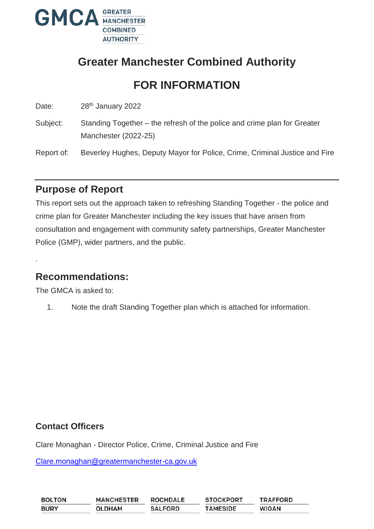

# **Greater Manchester Combined Authority**

# **FOR INFORMATION**

Date: 28<sup>th</sup> January 2022

Subject: Standing Together – the refresh of the police and crime plan for Greater Manchester (2022-25)

Report of: Beverley Hughes, Deputy Mayor for Police, Crime, Criminal Justice and Fire

## **Purpose of Report**

This report sets out the approach taken to refreshing Standing Together - the police and crime plan for Greater Manchester including the key issues that have arisen from consultation and engagement with community safety partnerships, Greater Manchester Police (GMP), wider partners, and the public.

## **Recommendations:**

The GMCA is asked to:

.

1. Note the draft Standing Together plan which is attached for information.

### **Contact Officers**

Clare Monaghan - Director Police, Crime, Criminal Justice and Fire

[Clare.monaghan@greatermanchester-ca.gov.uk](mailto:Clare.monaghan@greatermanchester-ca.gov.uk)

| <b>BOLTON</b> | <b>MANCHESTER</b> | <b>ROCHDALE</b> | <b>STOCKPORT</b> | <b>TRAFFORD</b> |
|---------------|-------------------|-----------------|------------------|-----------------|
| <b>BURY</b>   | <b>OLDHAM</b>     | <b>SALFORD</b>  | <b>TAMESIDE</b>  | <b>WIGAN</b>    |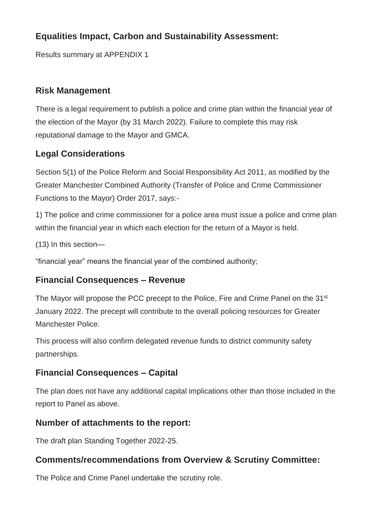## **Equalities Impact, Carbon and Sustainability Assessment:**

Results summary at APPENDIX 1

## **Risk Management**

There is a legal requirement to publish a police and crime plan within the financial year of the election of the Mayor (by 31 March 2022). Failure to complete this may risk reputational damage to the Mayor and GMCA.

## **Legal Considerations**

Section 5(1) of the Police Reform and Social Responsibility Act 2011, as modified by the Greater Manchester Combined Authority (Transfer of Police and Crime Commissioner Functions to the Mayor) Order 2017, says:-

1) The police and crime commissioner for a police area must issue a police and crime plan within the financial year in which each election for the return of a Mayor is held.

(13) In this section—

"financial year" means the financial year of the combined authority;

### **Financial Consequences – Revenue**

The Mayor will propose the PCC precept to the Police, Fire and Crime Panel on the 31<sup>st</sup> January 2022. The precept will contribute to the overall policing resources for Greater Manchester Police.

This process will also confirm delegated revenue funds to district community safety partnerships.

## **Financial Consequences – Capital**

The plan does not have any additional capital implications other than those included in the report to Panel as above.

### **Number of attachments to the report:**

The draft plan Standing Together 2022-25.

## **Comments/recommendations from Overview & Scrutiny Committee:**

The Police and Crime Panel undertake the scrutiny role.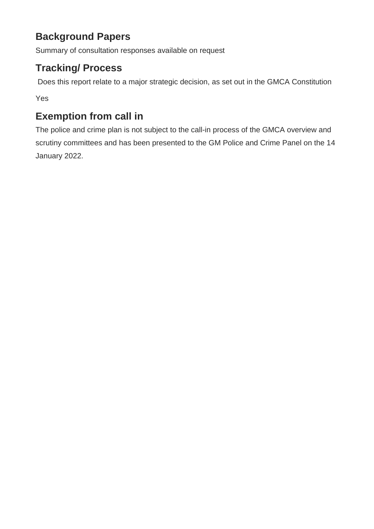# **Background Papers**

Summary of consultation responses available on request

# **Tracking/ Process**

Does this report relate to a major strategic decision, as set out in the GMCA Constitution

Yes

# **Exemption from call in**

The police and crime plan is not subject to the call-in process of the GMCA overview and scrutiny committees and has been presented to the GM Police and Crime Panel on the 14 January 2022.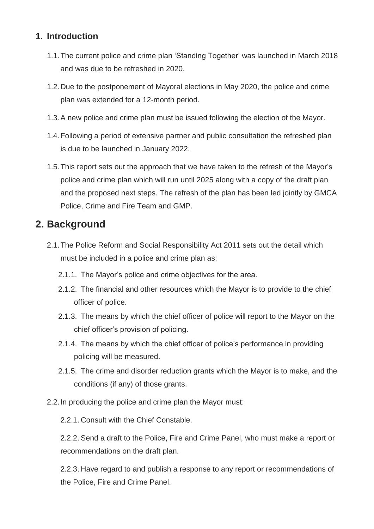## **1. Introduction**

- 1.1.The current police and crime plan 'Standing Together' was launched in March 2018 and was due to be refreshed in 2020.
- 1.2.Due to the postponement of Mayoral elections in May 2020, the police and crime plan was extended for a 12-month period.
- 1.3.A new police and crime plan must be issued following the election of the Mayor.
- 1.4.Following a period of extensive partner and public consultation the refreshed plan is due to be launched in January 2022.
- 1.5.This report sets out the approach that we have taken to the refresh of the Mayor's police and crime plan which will run until 2025 along with a copy of the draft plan and the proposed next steps. The refresh of the plan has been led jointly by GMCA Police, Crime and Fire Team and GMP.

## **2. Background**

- 2.1.The Police Reform and Social Responsibility Act 2011 sets out the detail which must be included in a police and crime plan as:
	- 2.1.1. The Mayor's police and crime objectives for the area.
	- 2.1.2. The financial and other resources which the Mayor is to provide to the chief officer of police.
	- 2.1.3. The means by which the chief officer of police will report to the Mayor on the chief officer's provision of policing.
	- 2.1.4. The means by which the chief officer of police's performance in providing policing will be measured.
	- 2.1.5. The crime and disorder reduction grants which the Mayor is to make, and the conditions (if any) of those grants.
- 2.2.In producing the police and crime plan the Mayor must:

2.2.1. Consult with the Chief Constable.

2.2.2. Send a draft to the Police, Fire and Crime Panel, who must make a report or recommendations on the draft plan.

2.2.3. Have regard to and publish a response to any report or recommendations of the Police, Fire and Crime Panel.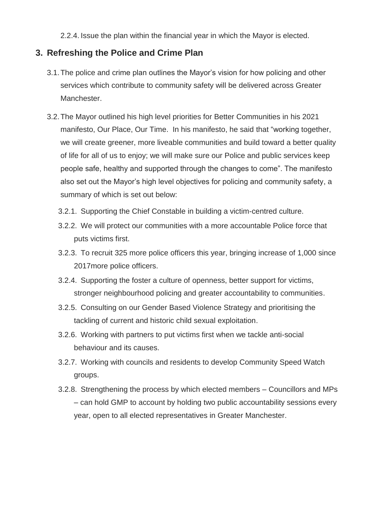2.2.4. Issue the plan within the financial year in which the Mayor is elected.

### **3. Refreshing the Police and Crime Plan**

- 3.1.The police and crime plan outlines the Mayor's vision for how policing and other services which contribute to community safety will be delivered across Greater Manchester.
- 3.2.The Mayor outlined his high level priorities for Better Communities in his 2021 manifesto, Our Place, Our Time. In his manifesto, he said that "working together, we will create greener, more liveable communities and build toward a better quality of life for all of us to enjoy; we will make sure our Police and public services keep people safe, healthy and supported through the changes to come". The manifesto also set out the Mayor's high level objectives for policing and community safety, a summary of which is set out below:
	- 3.2.1. Supporting the Chief Constable in building a victim-centred culture.
	- 3.2.2. We will protect our communities with a more accountable Police force that puts victims first.
	- 3.2.3. To recruit 325 more police officers this year, bringing increase of 1,000 since 2017more police officers.
	- 3.2.4. Supporting the foster a culture of openness, better support for victims, stronger neighbourhood policing and greater accountability to communities.
	- 3.2.5. Consulting on our Gender Based Violence Strategy and prioritising the tackling of current and historic child sexual exploitation.
	- 3.2.6. Working with partners to put victims first when we tackle anti-social behaviour and its causes.
	- 3.2.7. Working with councils and residents to develop Community Speed Watch groups.
	- 3.2.8. Strengthening the process by which elected members Councillors and MPs – can hold GMP to account by holding two public accountability sessions every year, open to all elected representatives in Greater Manchester.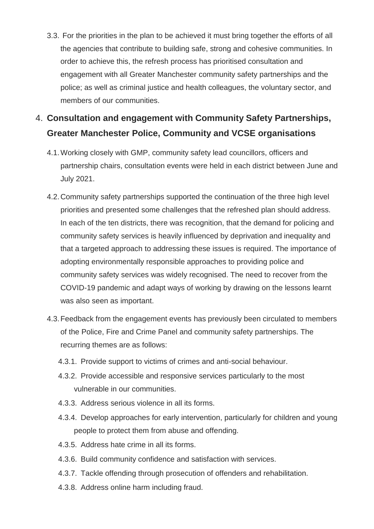3.3. For the priorities in the plan to be achieved it must bring together the efforts of all the agencies that contribute to building safe, strong and cohesive communities. In order to achieve this, the refresh process has prioritised consultation and engagement with all Greater Manchester community safety partnerships and the police; as well as criminal justice and health colleagues, the voluntary sector, and members of our communities.

## 4. **Consultation and engagement with Community Safety Partnerships, Greater Manchester Police, Community and VCSE organisations**

- 4.1.Working closely with GMP, community safety lead councillors, officers and partnership chairs, consultation events were held in each district between June and July 2021.
- 4.2.Community safety partnerships supported the continuation of the three high level priorities and presented some challenges that the refreshed plan should address. In each of the ten districts, there was recognition, that the demand for policing and community safety services is heavily influenced by deprivation and inequality and that a targeted approach to addressing these issues is required. The importance of adopting environmentally responsible approaches to providing police and community safety services was widely recognised. The need to recover from the COVID-19 pandemic and adapt ways of working by drawing on the lessons learnt was also seen as important.
- 4.3.Feedback from the engagement events has previously been circulated to members of the Police, Fire and Crime Panel and community safety partnerships. The recurring themes are as follows:
	- 4.3.1. Provide support to victims of crimes and anti-social behaviour.
	- 4.3.2. Provide accessible and responsive services particularly to the most vulnerable in our communities.
	- 4.3.3. Address serious violence in all its forms.
	- 4.3.4. Develop approaches for early intervention, particularly for children and young people to protect them from abuse and offending.
	- 4.3.5. Address hate crime in all its forms.
	- 4.3.6. Build community confidence and satisfaction with services.
	- 4.3.7. Tackle offending through prosecution of offenders and rehabilitation.
	- 4.3.8. Address online harm including fraud.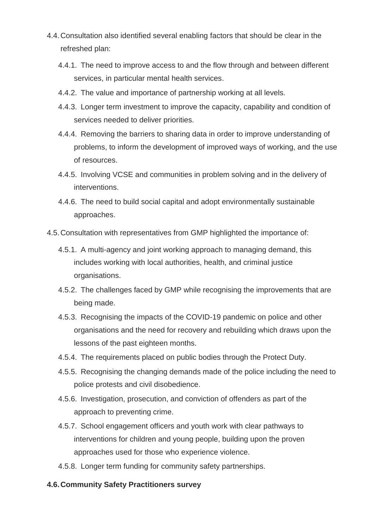- 4.4.Consultation also identified several enabling factors that should be clear in the refreshed plan:
	- 4.4.1. The need to improve access to and the flow through and between different services, in particular mental health services.
	- 4.4.2. The value and importance of partnership working at all levels.
	- 4.4.3. Longer term investment to improve the capacity, capability and condition of services needed to deliver priorities.
	- 4.4.4. Removing the barriers to sharing data in order to improve understanding of problems, to inform the development of improved ways of working, and the use of resources.
	- 4.4.5. Involving VCSE and communities in problem solving and in the delivery of interventions.
	- 4.4.6. The need to build social capital and adopt environmentally sustainable approaches.
- 4.5.Consultation with representatives from GMP highlighted the importance of:
	- 4.5.1. A multi-agency and joint working approach to managing demand, this includes working with local authorities, health, and criminal justice organisations.
	- 4.5.2. The challenges faced by GMP while recognising the improvements that are being made.
	- 4.5.3. Recognising the impacts of the COVID-19 pandemic on police and other organisations and the need for recovery and rebuilding which draws upon the lessons of the past eighteen months.
	- 4.5.4. The requirements placed on public bodies through the Protect Duty.
	- 4.5.5. Recognising the changing demands made of the police including the need to police protests and civil disobedience.
	- 4.5.6. Investigation, prosecution, and conviction of offenders as part of the approach to preventing crime.
	- 4.5.7. School engagement officers and youth work with clear pathways to interventions for children and young people, building upon the proven approaches used for those who experience violence.
	- 4.5.8. Longer term funding for community safety partnerships.

#### **4.6.Community Safety Practitioners survey**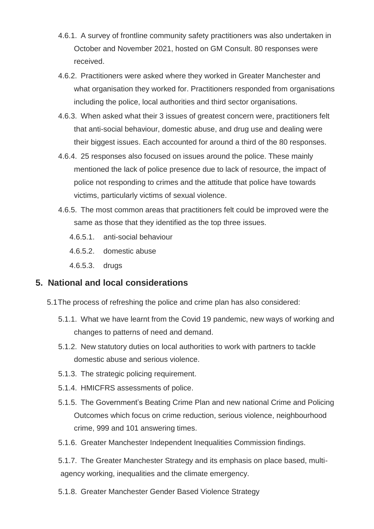- 4.6.1. A survey of frontline community safety practitioners was also undertaken in October and November 2021, hosted on GM Consult. 80 responses were received.
- 4.6.2. Practitioners were asked where they worked in Greater Manchester and what organisation they worked for. Practitioners responded from organisations including the police, local authorities and third sector organisations.
- 4.6.3. When asked what their 3 issues of greatest concern were, practitioners felt that anti-social behaviour, domestic abuse, and drug use and dealing were their biggest issues. Each accounted for around a third of the 80 responses.
- 4.6.4. 25 responses also focused on issues around the police. These mainly mentioned the lack of police presence due to lack of resource, the impact of police not responding to crimes and the attitude that police have towards victims, particularly victims of sexual violence.
- 4.6.5. The most common areas that practitioners felt could be improved were the same as those that they identified as the top three issues.
	- 4.6.5.1. anti-social behaviour
	- 4.6.5.2. domestic abuse
	- 4.6.5.3. drugs

#### **5. National and local considerations**

- 5.1The process of refreshing the police and crime plan has also considered:
	- 5.1.1. What we have learnt from the Covid 19 pandemic, new ways of working and changes to patterns of need and demand.
	- 5.1.2. New statutory duties on local authorities to work with partners to tackle domestic abuse and serious violence.
	- 5.1.3. The strategic policing requirement.
	- 5.1.4. HMICFRS assessments of police.
	- 5.1.5. The Government's Beating Crime Plan and new national Crime and Policing Outcomes which focus on crime reduction, serious violence, neighbourhood crime, 999 and 101 answering times.
	- 5.1.6. Greater Manchester Independent Inequalities Commission findings.

5.1.7. The Greater Manchester Strategy and its emphasis on place based, multiagency working, inequalities and the climate emergency.

5.1.8. Greater Manchester Gender Based Violence Strategy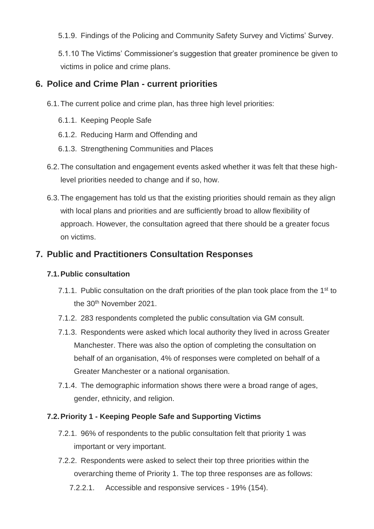5.1.9. Findings of the Policing and Community Safety Survey and Victims' Survey.

5.1.10 The Victims' Commissioner's suggestion that greater prominence be given to victims in police and crime plans.

### **6. Police and Crime Plan - current priorities**

6.1.The current police and crime plan, has three high level priorities:

- 6.1.1. Keeping People Safe
- 6.1.2. Reducing Harm and Offending and
- 6.1.3. Strengthening Communities and Places
- 6.2.The consultation and engagement events asked whether it was felt that these highlevel priorities needed to change and if so, how.
- 6.3.The engagement has told us that the existing priorities should remain as they align with local plans and priorities and are sufficiently broad to allow flexibility of approach. However, the consultation agreed that there should be a greater focus on victims.

### **7. Public and Practitioners Consultation Responses**

#### **7.1.Public consultation**

- 7.1.1. Public consultation on the draft priorities of the plan took place from the 1<sup>st</sup> to the 30<sup>th</sup> November 2021.
- 7.1.2. 283 respondents completed the public consultation via GM consult.
- 7.1.3. Respondents were asked which local authority they lived in across Greater Manchester. There was also the option of completing the consultation on behalf of an organisation, 4% of responses were completed on behalf of a Greater Manchester or a national organisation.
- 7.1.4. The demographic information shows there were a broad range of ages, gender, ethnicity, and religion.

#### **7.2.Priority 1 - Keeping People Safe and Supporting Victims**

- 7.2.1. 96% of respondents to the public consultation felt that priority 1 was important or very important.
- 7.2.2. Respondents were asked to select their top three priorities within the overarching theme of Priority 1. The top three responses are as follows:
	- 7.2.2.1. Accessible and responsive services 19% (154).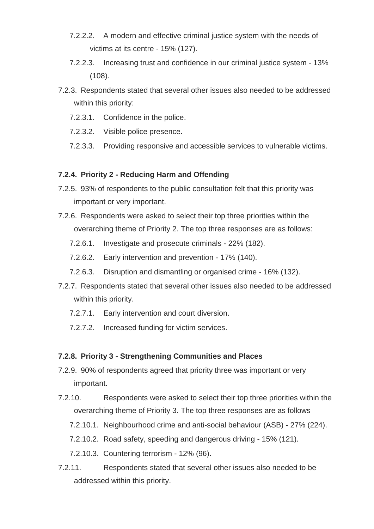- 7.2.2.2. A modern and effective criminal justice system with the needs of victims at its centre - 15% (127).
- 7.2.2.3. Increasing trust and confidence in our criminal justice system 13% (108).
- 7.2.3. Respondents stated that several other issues also needed to be addressed within this priority:
	- 7.2.3.1. Confidence in the police.
	- 7.2.3.2. Visible police presence.
	- 7.2.3.3. Providing responsive and accessible services to vulnerable victims.

#### **7.2.4. Priority 2 - Reducing Harm and Offending**

- 7.2.5. 93% of respondents to the public consultation felt that this priority was important or very important.
- 7.2.6. Respondents were asked to select their top three priorities within the overarching theme of Priority 2. The top three responses are as follows:
	- 7.2.6.1. Investigate and prosecute criminals 22% (182).
	- 7.2.6.2. Early intervention and prevention 17% (140).
	- 7.2.6.3. Disruption and dismantling or organised crime 16% (132).
- 7.2.7. Respondents stated that several other issues also needed to be addressed within this priority.
	- 7.2.7.1. Early intervention and court diversion.
	- 7.2.7.2. Increased funding for victim services.

#### **7.2.8. Priority 3 - Strengthening Communities and Places**

- 7.2.9. 90% of respondents agreed that priority three was important or very important.
- 7.2.10. Respondents were asked to select their top three priorities within the overarching theme of Priority 3. The top three responses are as follows
	- 7.2.10.1. Neighbourhood crime and anti-social behaviour (ASB) 27% (224).
	- 7.2.10.2. Road safety, speeding and dangerous driving 15% (121).
	- 7.2.10.3. Countering terrorism 12% (96).
- 7.2.11. Respondents stated that several other issues also needed to be addressed within this priority.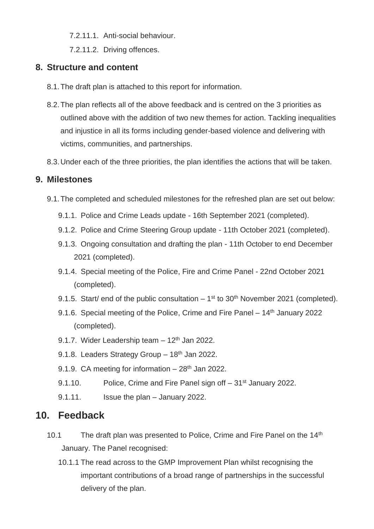7.2.11.1. Anti-social behaviour.

7.2.11.2. Driving offences.

## **8. Structure and content**

- 8.1.The draft plan is attached to this report for information.
- 8.2.The plan reflects all of the above feedback and is centred on the 3 priorities as outlined above with the addition of two new themes for action. Tackling inequalities and injustice in all its forms including gender-based violence and delivering with victims, communities, and partnerships.
- 8.3.Under each of the three priorities, the plan identifies the actions that will be taken.

### **9. Milestones**

- 9.1.The completed and scheduled milestones for the refreshed plan are set out below:
	- 9.1.1. Police and Crime Leads update 16th September 2021 (completed).
	- 9.1.2. Police and Crime Steering Group update 11th October 2021 (completed).
	- 9.1.3. Ongoing consultation and drafting the plan 11th October to end December 2021 (completed).
	- 9.1.4. Special meeting of the Police, Fire and Crime Panel 22nd October 2021 (completed).
	- 9.1.5. Start/ end of the public consultation  $-1^{st}$  to 30<sup>th</sup> November 2021 (completed).
	- 9.1.6. Special meeting of the Police, Crime and Fire Panel 14<sup>th</sup> January 2022 (completed).
	- 9.1.7. Wider Leadership team  $-12<sup>th</sup>$  Jan 2022.
	- 9.1.8. Leaders Strategy Group 18th Jan 2022.
	- 9.1.9. CA meeting for information  $-28<sup>th</sup>$  Jan 2022.
	- 9.1.10. Police, Crime and Fire Panel sign of f 31<sup>st</sup> January 2022.
	- 9.1.11. Issue the plan January 2022.

## **10. Feedback**

- 10.1 The draft plan was presented to Police, Crime and Fire Panel on the 14<sup>th</sup> January. The Panel recognised:
	- 10.1.1 The read across to the GMP Improvement Plan whilst recognising the important contributions of a broad range of partnerships in the successful delivery of the plan.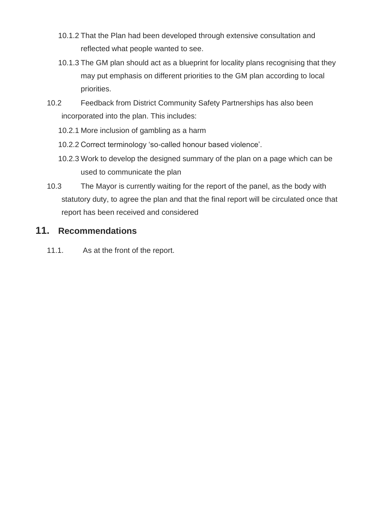- 10.1.2 That the Plan had been developed through extensive consultation and reflected what people wanted to see.
- 10.1.3 The GM plan should act as a blueprint for locality plans recognising that they may put emphasis on different priorities to the GM plan according to local priorities.
- 10.2 Feedback from District Community Safety Partnerships has also been incorporated into the plan. This includes:
	- 10.2.1 More inclusion of gambling as a harm
	- 10.2.2 Correct terminology 'so-called honour based violence'.
	- 10.2.3 Work to develop the designed summary of the plan on a page which can be used to communicate the plan
- 10.3 The Mayor is currently waiting for the report of the panel, as the body with statutory duty, to agree the plan and that the final report will be circulated once that report has been received and considered

#### **11. Recommendations**

11.1. As at the front of the report.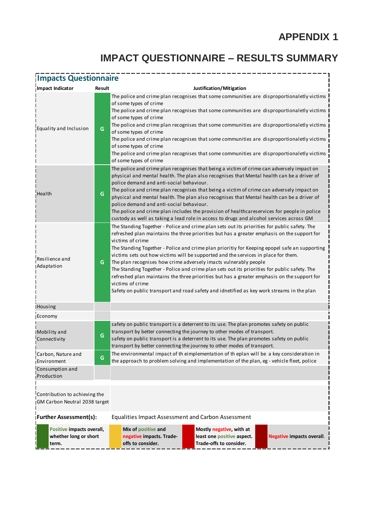# **APPENDIX 1**

# **IMPACT QUESTIONNAIRE – RESULTS SUMMARY**

| <b>Impacts Questionnaire</b>                                   |        |                                                                                                                                                                                                                                                                                                                                                                                                                                                                                                                                                                                                                                                                                                                                                                                            |  |  |  |  |  |  |
|----------------------------------------------------------------|--------|--------------------------------------------------------------------------------------------------------------------------------------------------------------------------------------------------------------------------------------------------------------------------------------------------------------------------------------------------------------------------------------------------------------------------------------------------------------------------------------------------------------------------------------------------------------------------------------------------------------------------------------------------------------------------------------------------------------------------------------------------------------------------------------------|--|--|--|--|--|--|
| Impact Indicator                                               | Result | Justification/Mitigation                                                                                                                                                                                                                                                                                                                                                                                                                                                                                                                                                                                                                                                                                                                                                                   |  |  |  |  |  |  |
| Equality and Inclusion                                         | G      | The police and crime plan recognises that some communities are disproportionaletly victims<br>of some types of crime<br>The police and crime plan recognises that some communities are disproportionaletly victims<br>of some types of crime<br>The police and crime plan recognises that some communities are disproportionaletly victims<br>of some types of crime<br>The police and crime plan recognises that some communities are disproportionaletly victims<br>of some types of crime<br>The police and crime plan recognises that some communities are disproportionaletly victims<br>of some types of crime                                                                                                                                                                       |  |  |  |  |  |  |
| Health                                                         | G      | The police and crime plan recognises that being a victim of crime can adversely impact on<br>physical and mental health. The plan also recognises that Mental health can be a driver of<br>police demand and anti-social behaviour.<br>The police and crime plan recognises that being a victim of crime can adversely impact on<br>physical and mental health. The plan also recognises that Mental health can be a driver of<br>police demand and anti-social behaviour.<br>The police and crime plan includes the provision of healthcareservices for people in police<br>custody as well as taking a lead role in access to drugs and alcohol services across GM                                                                                                                       |  |  |  |  |  |  |
| Resilience and<br>Adaptation                                   | G      | The Standing Together - Police and crime plan sets out its priorities for public safety. The<br>refreshed plan maintains the three priorities but has a greater emphasis on the support for<br>victims of crime<br>The Standing Together - Police and crime plan prioritiy for Keeping epopel safe an supporting<br>victims sets out how victims will be supported and the services in place for them.<br>The plan recognises how crime adversely imacts vulnerably people<br>The Standing Together - Police and crime plan sets out its priorities for public safety. The<br>refreshed plan maintains the three priorities but has a greater emphasis on the support for<br>victims of crime<br>Safety on public transport and road safety and idnetified as key work streams in the plan |  |  |  |  |  |  |
| Housing                                                        |        |                                                                                                                                                                                                                                                                                                                                                                                                                                                                                                                                                                                                                                                                                                                                                                                            |  |  |  |  |  |  |
| Economy                                                        |        |                                                                                                                                                                                                                                                                                                                                                                                                                                                                                                                                                                                                                                                                                                                                                                                            |  |  |  |  |  |  |
| Mobility and<br>Connectivity                                   | G      | safety on public transport is a deterrent to its use. The plan promotes safety on public<br>transport by better connecting the journey to other modes of transport.<br>safety on public transport is a deterrent to its use. The plan promotes safety on public<br>transport by better connecting the journey to other modes of transport.                                                                                                                                                                                                                                                                                                                                                                                                                                                 |  |  |  |  |  |  |
| Carbon, Nature and<br>Environment                              | G      | The environmental impact of th eimplementation of th eplan will be a key consideration in<br>the approach to problem solving and implementation of the plan, eg - vehicle fleet, police                                                                                                                                                                                                                                                                                                                                                                                                                                                                                                                                                                                                    |  |  |  |  |  |  |
| Consumption and<br>Production                                  |        |                                                                                                                                                                                                                                                                                                                                                                                                                                                                                                                                                                                                                                                                                                                                                                                            |  |  |  |  |  |  |
| Contribution to achieving the<br>GM Carbon Neutral 2038 target |        |                                                                                                                                                                                                                                                                                                                                                                                                                                                                                                                                                                                                                                                                                                                                                                                            |  |  |  |  |  |  |
| <b>Further Assessment(s):</b>                                  |        | <b>Equalities Impact Assessment and Carbon Assessment</b>                                                                                                                                                                                                                                                                                                                                                                                                                                                                                                                                                                                                                                                                                                                                  |  |  |  |  |  |  |
| Positive impacts overall,<br>whether long or short<br>term.    |        | Mix of positive and<br>Mostly negative, with at<br>negative impacts. Trade-<br>least one positive aspect.<br><b>Negative impacts overall.</b><br>offs to consider.<br>Trade-offs to consider.                                                                                                                                                                                                                                                                                                                                                                                                                                                                                                                                                                                              |  |  |  |  |  |  |